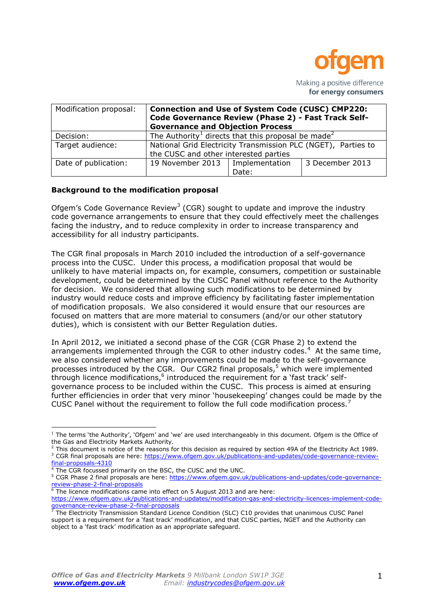

| Modification proposal: | <b>Connection and Use of System Code (CUSC) CMP220:</b><br>Code Governance Review (Phase 2) - Fast Track Self-<br><b>Governance and Objection Process</b> |       |                 |
|------------------------|-----------------------------------------------------------------------------------------------------------------------------------------------------------|-------|-----------------|
| Decision:              | The Authority <sup>1</sup> directs that this proposal be made <sup>2</sup>                                                                                |       |                 |
| Target audience:       | National Grid Electricity Transmission PLC (NGET), Parties to<br>the CUSC and other interested parties                                                    |       |                 |
| Date of publication:   | 19 November 2013   Implementation                                                                                                                         | Date: | 3 December 2013 |

### **Background to the modification proposal**

Ofgem's Code Governance Review<sup>3</sup> (CGR) sought to update and improve the industry code governance arrangements to ensure that they could effectively meet the challenges facing the industry, and to reduce complexity in order to increase transparency and accessibility for all industry participants.

The CGR final proposals in March 2010 included the introduction of a self-governance process into the CUSC. Under this process, a modification proposal that would be unlikely to have material impacts on, for example, consumers, competition or sustainable development, could be determined by the CUSC Panel without reference to the Authority for decision. We considered that allowing such modifications to be determined by industry would reduce costs and improve efficiency by facilitating faster implementation of modification proposals. We also considered it would ensure that our resources are focused on matters that are more material to consumers (and/or our other statutory duties), which is consistent with our Better Regulation duties.

In April 2012, we initiated a second phase of the CGR (CGR Phase 2) to extend the arrangements implemented through the CGR to other industry codes.<sup>4</sup> At the same time, we also considered whether any improvements could be made to the self-governance processes introduced by the CGR. Our CGR2 final proposals,<sup>5</sup> which were implemented through licence modifications,<sup>6</sup> introduced the requirement for a 'fast track' selfgovernance process to be included within the CUSC. This process is aimed at ensuring further efficiencies in order that very minor 'housekeeping' changes could be made by the CUSC Panel without the requirement to follow the full code modification process.<sup>7</sup>

<sup>1</sup> The terms 'the Authority', 'Ofgem' and 'we' are used interchangeably in this document. Ofgem is the Office of the Gas and Electricity Markets Authority.

 $2$  This document is notice of the reasons for this decision as required by section 49A of the Electricity Act 1989. <sup>3</sup> CGR final proposals are here: [https://www.ofgem.gov.uk/publications-and-updates/code-governance-review](https://www.ofgem.gov.uk/publications-and-updates/code-governance-review-final-proposals-4310)[final-proposals-4310](https://www.ofgem.gov.uk/publications-and-updates/code-governance-review-final-proposals-4310)

The CGR focussed primarily on the BSC, the CUSC and the UNC.

<sup>5</sup> CGR Phase 2 final proposals are here: [https://www.ofgem.gov.uk/publications-and-updates/code-governance](https://www.ofgem.gov.uk/publications-and-updates/code-governance-review-phase-2-final-proposals)[review-phase-2-final-proposals](https://www.ofgem.gov.uk/publications-and-updates/code-governance-review-phase-2-final-proposals)

<sup>&</sup>lt;sup>6</sup>The licence modifications came into effect on 5 August 2013 and are here: [https://www.ofgem.gov.uk/publications-and-updates/modification-gas-and-electricity-licences-implement-code](https://www.ofgem.gov.uk/publications-and-updates/modification-gas-and-electricity-licences-implement-code-governance-review-phase-2-final-proposals)[governance-review-phase-2-final-proposals](https://www.ofgem.gov.uk/publications-and-updates/modification-gas-and-electricity-licences-implement-code-governance-review-phase-2-final-proposals)

 $\bar{7}$  The Electricity Transmission Standard Licence Condition (SLC) C10 provides that unanimous CUSC Panel support is a requirement for a 'fast track' modification, and that CUSC parties, NGET and the Authority can object to a 'fast track' modification as an appropriate safeguard.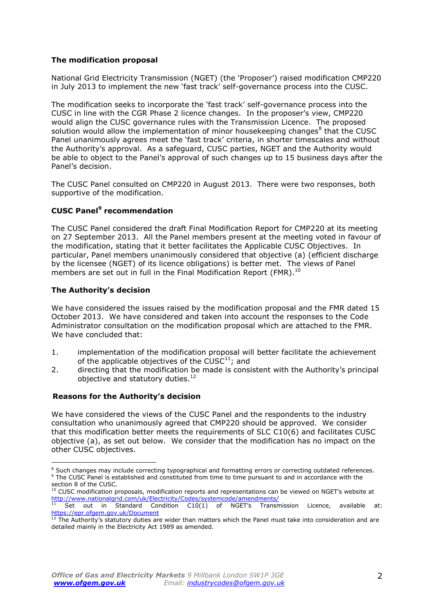## **The modification proposal**

National Grid Electricity Transmission (NGET) (the 'Proposer') raised modification CMP220 in July 2013 to implement the new 'fast track' self-governance process into the CUSC.

The modification seeks to incorporate the 'fast track' self-governance process into the CUSC in line with the CGR Phase 2 licence changes. In the proposer's view, CMP220 would align the CUSC governance rules with the Transmission Licence. The proposed solution would allow the implementation of minor housekeeping changes<sup>8</sup> that the CUSC Panel unanimously agrees meet the 'fast track' criteria, in shorter timescales and without the Authority's approval. As a safeguard, CUSC parties, NGET and the Authority would be able to object to the Panel's approval of such changes up to 15 business days after the Panel's decision.

The CUSC Panel consulted on CMP220 in August 2013. There were two responses, both supportive of the modification.

## **CUSC Panel<sup>9</sup> recommendation**

The CUSC Panel considered the draft Final Modification Report for CMP220 at its meeting on 27 September 2013. All the Panel members present at the meeting voted in favour of the modification, stating that it better facilitates the Applicable CUSC Objectives. In particular, Panel members unanimously considered that objective (a) (efficient discharge by the licensee (NGET) of its licence obligations) is better met. The views of Panel members are set out in full in the Final Modification Report (FMR).<sup>10</sup>

#### **The Authority's decision**

We have considered the issues raised by the modification proposal and the FMR dated 15 October 2013. We have considered and taken into account the responses to the Code Administrator consultation on the modification proposal which are attached to the FMR. We have concluded that:

- 1. implementation of the modification proposal will better facilitate the achievement of the applicable objectives of the CUSC $^{11}$ ; and
- 2. directing that the modification be made is consistent with the Authority's principal objective and statutory duties.<sup>12</sup>

## **Reasons for the Authority's decision**

We have considered the views of the CUSC Panel and the respondents to the industry consultation who unanimously agreed that CMP220 should be approved. We consider that this modification better meets the requirements of SLC C10(6) and facilitates CUSC objective (a), as set out below. We consider that the modification has no impact on the other CUSC objectives.

<sup>&</sup>lt;sup>8</sup> Such changes may include correcting typographical and formatting errors or correcting outdated references. <sup>9</sup> The CUSC Panel is established and constituted from time to time pursuant to and in accordance with the section 8 of the CUSC.

 $10$  CUSC modification proposals, modification reports and representations can be viewed on NGET's website at <http://www.nationalgrid.com/uk/Electricity/Codes/systemcode/amendments/>

 $11$  Set out in Standard Condition C10(1) of NGET's Transmission Licence, available at: <https://epr.ofgem.gov.uk/Document>

 $12$  The Authority's statutory duties are wider than matters which the Panel must take into consideration and are detailed mainly in the Electricity Act 1989 as amended.